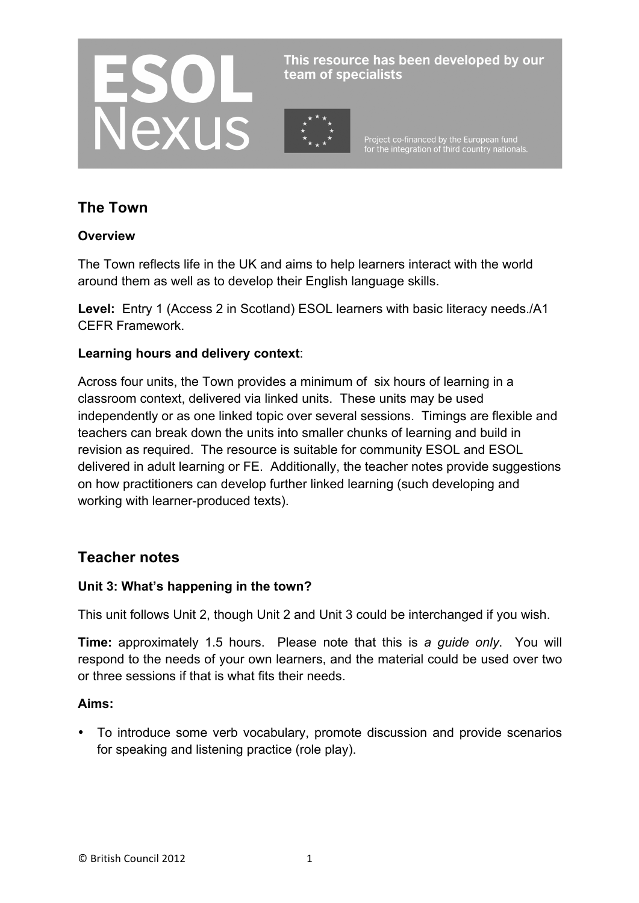

This resource has been developed by our team of specialists

Project co-financed by the European fund<br>for the integration of third country nationals.

# **The Town**

## **Overview**

The Town reflects life in the UK and aims to help learners interact with the world around them as well as to develop their English language skills.

**Level:** Entry 1 (Access 2 in Scotland) ESOL learners with basic literacy needs./A1 CEFR Framework.

#### **Learning hours and delivery context**:

Across four units, the Town provides a minimum of six hours of learning in a classroom context, delivered via linked units. These units may be used independently or as one linked topic over several sessions. Timings are flexible and teachers can break down the units into smaller chunks of learning and build in revision as required. The resource is suitable for community ESOL and ESOL delivered in adult learning or FE. Additionally, the teacher notes provide suggestions on how practitioners can develop further linked learning (such developing and working with learner-produced texts).

# **Teacher notes**

## **Unit 3: What's happening in the town?**

This unit follows Unit 2, though Unit 2 and Unit 3 could be interchanged if you wish.

**Time:** approximately 1.5 hours. Please note that this is *a guide only*. You will respond to the needs of your own learners, and the material could be used over two or three sessions if that is what fits their needs.

#### **Aims:**

• To introduce some verb vocabulary, promote discussion and provide scenarios for speaking and listening practice (role play).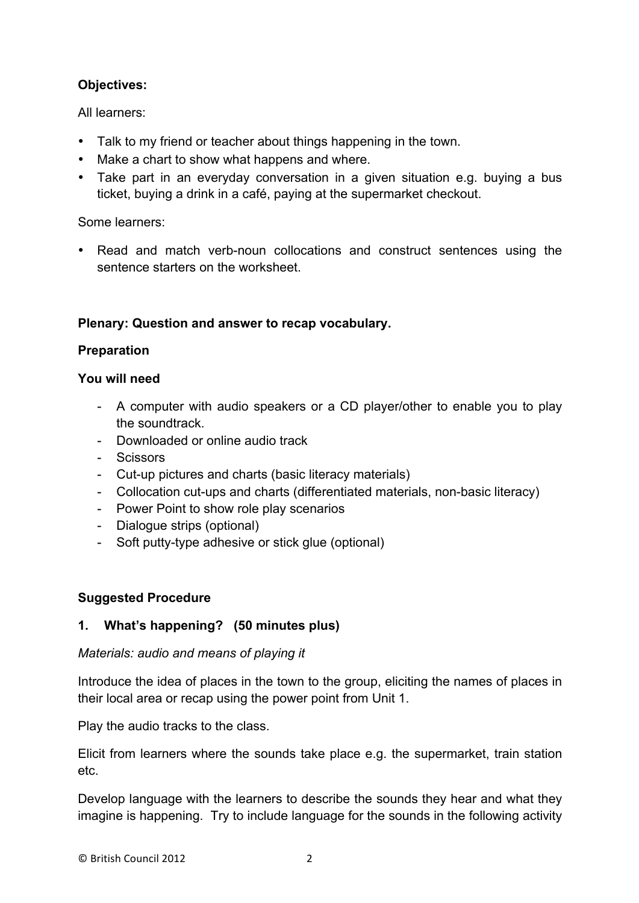# **Objectives:**

All learners:

- Talk to my friend or teacher about things happening in the town.
- Make a chart to show what happens and where.
- Take part in an everyday conversation in a given situation e.g. buying a bus ticket, buying a drink in a café, paying at the supermarket checkout.

Some learners:

• Read and match verb-noun collocations and construct sentences using the sentence starters on the worksheet.

# **Plenary: Question and answer to recap vocabulary.**

# **Preparation**

## **You will need**

- A computer with audio speakers or a CD player/other to enable you to play the soundtrack.
- Downloaded or online audio track
- Scissors
- Cut-up pictures and charts (basic literacy materials)
- Collocation cut-ups and charts (differentiated materials, non-basic literacy)
- Power Point to show role play scenarios
- Dialogue strips (optional)
- Soft putty-type adhesive or stick glue (optional)

## **Suggested Procedure**

# **1. What's happening? (50 minutes plus)**

## *Materials: audio and means of playing it*

Introduce the idea of places in the town to the group, eliciting the names of places in their local area or recap using the power point from Unit 1.

Play the audio tracks to the class.

Elicit from learners where the sounds take place e.g. the supermarket, train station etc.

Develop language with the learners to describe the sounds they hear and what they imagine is happening. Try to include language for the sounds in the following activity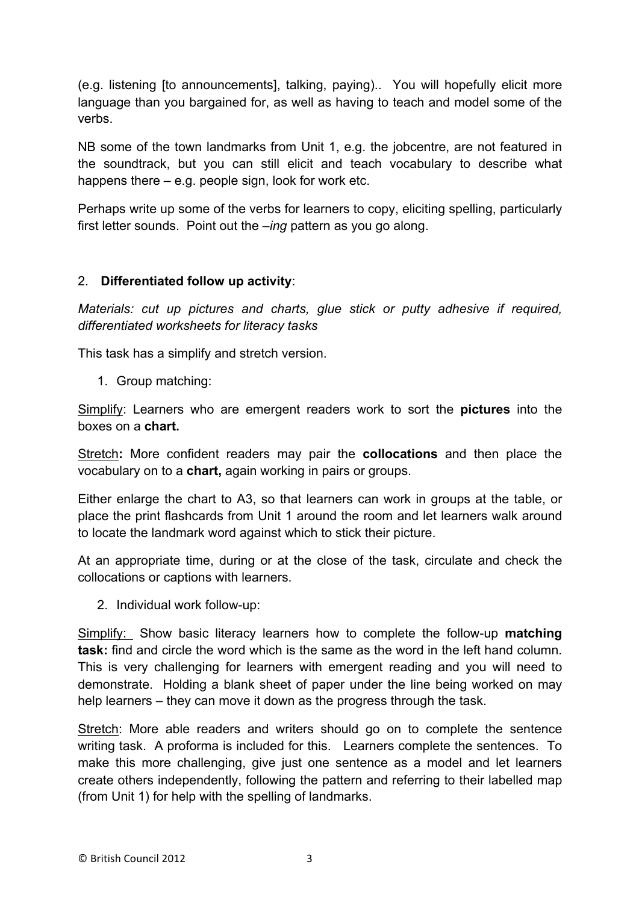(e.g. listening [to announcements], talking, paying).. You will hopefully elicit more language than you bargained for, as well as having to teach and model some of the verbs.

NB some of the town landmarks from Unit 1, e.g. the jobcentre, are not featured in the soundtrack, but you can still elicit and teach vocabulary to describe what happens there – e.g. people sign, look for work etc.

Perhaps write up some of the verbs for learners to copy, eliciting spelling, particularly first letter sounds. Point out the *–ing* pattern as you go along.

## 2. **Differentiated follow up activity**:

*Materials: cut up pictures and charts, glue stick or putty adhesive if required, differentiated worksheets for literacy tasks*

This task has a simplify and stretch version.

1. Group matching:

Simplify: Learners who are emergent readers work to sort the **pictures** into the boxes on a **chart.** 

Stretch**:** More confident readers may pair the **collocations** and then place the vocabulary on to a **chart,** again working in pairs or groups.

Either enlarge the chart to A3, so that learners can work in groups at the table, or place the print flashcards from Unit 1 around the room and let learners walk around to locate the landmark word against which to stick their picture.

At an appropriate time, during or at the close of the task, circulate and check the collocations or captions with learners.

2. Individual work follow-up:

Simplify: Show basic literacy learners how to complete the follow-up **matching task:** find and circle the word which is the same as the word in the left hand column. This is very challenging for learners with emergent reading and you will need to demonstrate. Holding a blank sheet of paper under the line being worked on may help learners – they can move it down as the progress through the task.

Stretch: More able readers and writers should go on to complete the sentence writing task. A proforma is included for this. Learners complete the sentences. To make this more challenging, give just one sentence as a model and let learners create others independently, following the pattern and referring to their labelled map (from Unit 1) for help with the spelling of landmarks.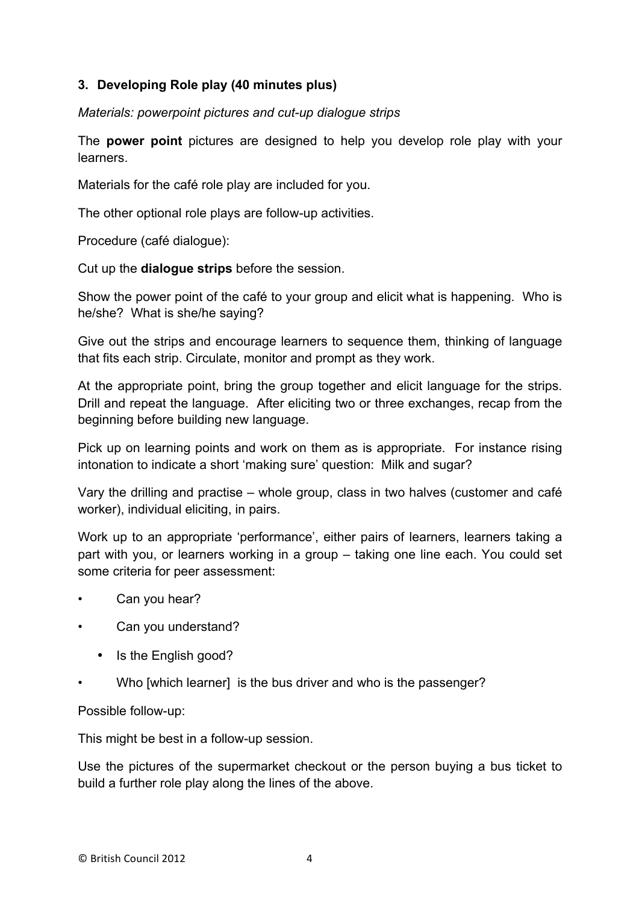## **3. Developing Role play (40 minutes plus)**

*Materials: powerpoint pictures and cut-up dialogue strips*

The **power point** pictures are designed to help you develop role play with your learners.

Materials for the café role play are included for you.

The other optional role plays are follow-up activities.

Procedure (café dialogue):

Cut up the **dialogue strips** before the session.

Show the power point of the café to your group and elicit what is happening. Who is he/she? What is she/he saying?

Give out the strips and encourage learners to sequence them, thinking of language that fits each strip. Circulate, monitor and prompt as they work.

At the appropriate point, bring the group together and elicit language for the strips. Drill and repeat the language. After eliciting two or three exchanges, recap from the beginning before building new language.

Pick up on learning points and work on them as is appropriate. For instance rising intonation to indicate a short 'making sure' question: Milk and sugar?

Vary the drilling and practise – whole group, class in two halves (customer and café worker), individual eliciting, in pairs.

Work up to an appropriate 'performance', either pairs of learners, learners taking a part with you, or learners working in a group – taking one line each. You could set some criteria for peer assessment:

- Can you hear?
- Can you understand?
	- Is the English good?
- Who [which learner] is the bus driver and who is the passenger?

Possible follow-up:

This might be best in a follow-up session.

Use the pictures of the supermarket checkout or the person buying a bus ticket to build a further role play along the lines of the above.